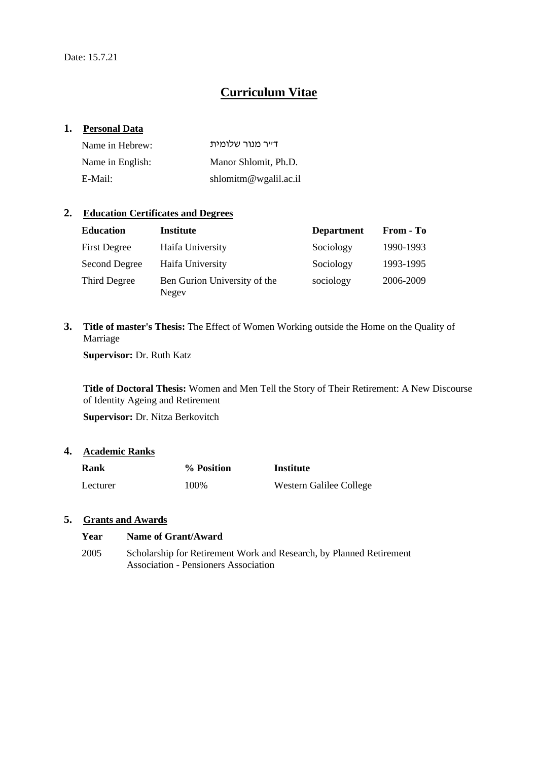# **Curriculum Vitae**

#### **1. Personal Data**

| Name in Hebrew:  | ד״ר מנור שלומית       |
|------------------|-----------------------|
| Name in English: | Manor Shlomit, Ph.D.  |
| E-Mail:          | shlomitm@wgalil.ac.il |

## **2. Education Certificates and Degrees**

| <b>Education</b>    | <b>Institute</b>                      | <b>Department</b> | From - To |
|---------------------|---------------------------------------|-------------------|-----------|
| <b>First Degree</b> | Haifa University                      | Sociology         | 1990-1993 |
| Second Degree       | Haifa University                      | Sociology         | 1993-1995 |
| Third Degree        | Ben Gurion University of the<br>Negev | sociology         | 2006-2009 |

**3. Title of master's Thesis:** The Effect of Women Working outside the Home on the Quality of Marriage

**Supervisor:** Dr. Ruth Katz

**Title of Doctoral Thesis:** Women and Men Tell the Story of Their Retirement: A New Discourse of Identity Ageing and Retirement

**Supervisor:** Dr. Nitza Berkovitch

# **4. Academic Ranks**

| <b>Rank</b> | % Position | Institute               |
|-------------|------------|-------------------------|
| Lecturer    | 100\%      | Western Galilee College |

## **5. Grants and Awards**

| Year | Name of Grant/Award                                                 |
|------|---------------------------------------------------------------------|
| 2005 | Scholarship for Retirement Work and Research, by Planned Retirement |
|      | Association - Pensioners Association                                |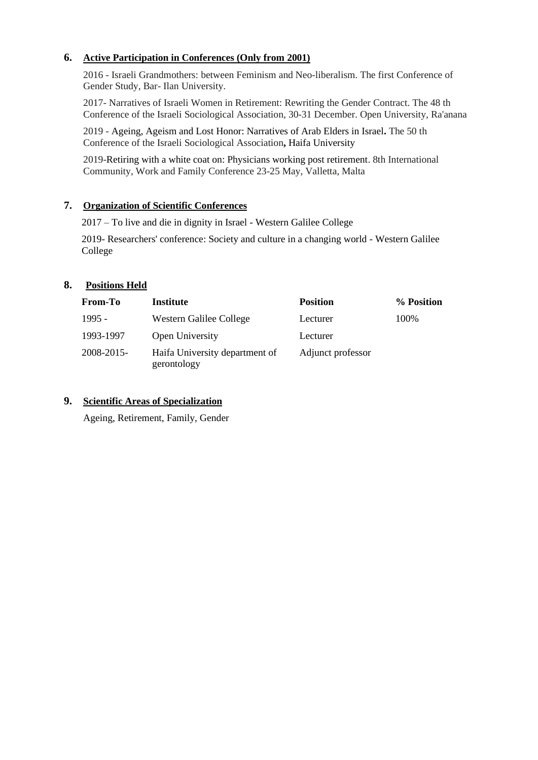## **6. Active Participation in Conferences (Only from 2001)**

2016 - Israeli Grandmothers: between Feminism and Neo-liberalism. The first Conference of Gender Study, Bar- Ilan University.

2017- Narratives of Israeli Women in Retirement: Rewriting the Gender Contract. The 48 th Conference of the Israeli Sociological Association, 30-31 December. Open University, Ra'anana

2019 - Ageing, Ageism and Lost Honor: Narratives of Arab Elders in Israel**.** The 50 th Conference of the Israeli Sociological Association**,** Haifa University

2019-Retiring with a white coat on: Physicians working post retirement. 8th International Community, Work and Family Conference 23-25 May, Valletta, Malta

## **7. Organization of Scientific Conferences**

2017 – To live and die in dignity in Israel - Western Galilee College

2019- Researchers' conference: Society and culture in a changing world - Western Galilee College

## **8. Positions Held**

| <b>From-To</b> | Institute                                     | <b>Position</b>   | % Position |
|----------------|-----------------------------------------------|-------------------|------------|
| $1995 -$       | Western Galilee College                       | Lecturer          | 100%       |
| 1993-1997      | Open University                               | Lecturer          |            |
| 2008-2015-     | Haifa University department of<br>gerontology | Adjunct professor |            |

## **9. Scientific Areas of Specialization**

Ageing, Retirement, Family, Gender